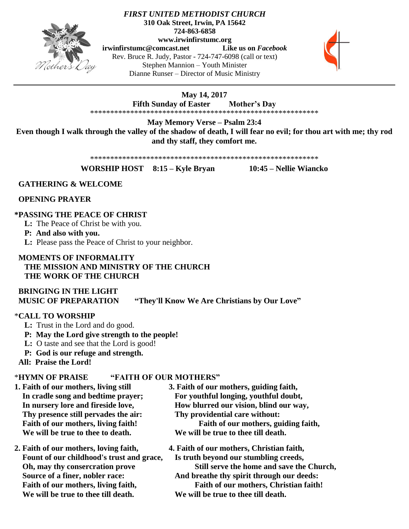

#### *FIRST UNITED METHODIST CHURCH* **310 Oak Street, Irwin, PA 15642 724-863-6858 www.irwinfirstumc.org**

**[irwinfirstumc@comcast.net](mailto:irwinfirstumc@comcast.net) Like us on** *Facebook* Rev. Bruce R. Judy, Pastor - 724-747-6098 (call or text) Stephen Mannion – Youth Minister Dianne Runser – Director of Music Ministry



#### **May 14, 2017 Fifth Sunday of Easter Mother's Day** \*\*\*\*\*\*\*\*\*\*\*\*\*\*\*\*\*\*\*\*\*\*\*\*\*\*\*\*\*\*\*\*\*\*\*\*\*\*\*\*\*\*\*\*\*\*\*\*\*\*\*\*\*\*\*\*\*

**May Memory Verse – Psalm 23:4**

**Even though I walk through the valley of the shadow of death, I will fear no evil; for thou art with me; thy rod and thy staff, they comfort me.**

\*\*\*\*\*\*\*\*\*\*\*\*\*\*\*\*\*\*\*\*\*\*\*\*\*\*\*\*\*\*\*\*\*\*\*\*\*\*\*\*\*\*\*\*\*\*\*\*\*\*\*\*\*\*\*\*\*

**WORSHIP HOST 8:15 – Kyle Bryan 10:45 – Nellie Wiancko**

#### **GATHERING & WELCOME**

 **OPENING PRAYER**

#### **\*PASSING THE PEACE OF CHRIST**

**L:** The Peace of Christ be with you.

**P: And also with you.**

**L:** Please pass the Peace of Christ to your neighbor.

#### **MOMENTS OF INFORMALITY THE MISSION AND MINISTRY OF THE CHURCH THE WORK OF THE CHURCH**

 **BRINGING IN THE LIGHT MUSIC OF PREPARATION "They'll Know We Are Christians by Our Love"**

#### \***CALL TO WORSHIP**

- **L:** Trust in the Lord and do good.
- **P: May the Lord give strength to the people!**
- **L:** O taste and see that the Lord is good!
- **P: God is our refuge and strength.**

 **All: Praise the Lord!**

#### \***HYMN OF PRAISE "FAITH OF OUR MOTHERS"**

- **1. Faith of our mothers, living still 3. Faith of our mothers, guiding faith, Thy presence still pervades the air: Thy providential care without: We will be true to thee to death. We will be true to thee till death.**
- **2. Faith of our mothers, loving faith, 4. Faith of our mothers, Christian faith, Fount of our childhood's trust and grace, Is truth beyond our stumbling creeds, We will be true to thee till death. We will be true to thee till death.**
- In cradle song and bedtime prayer; For youthful longing, youthful doubt, In nursery lore and fireside love, **How blurred our vision, blind our way**, Faith of our mothers, living faith!<br>
Faith of our mothers, guiding faith,
	-

 **Oh, may thy consercration prove Still serve the home and save the Church, Source of a finer, nobler race:** And breathe thy spirit through our deeds: Faith of our mothers, living faith, Faith of our mothers, Christian faith!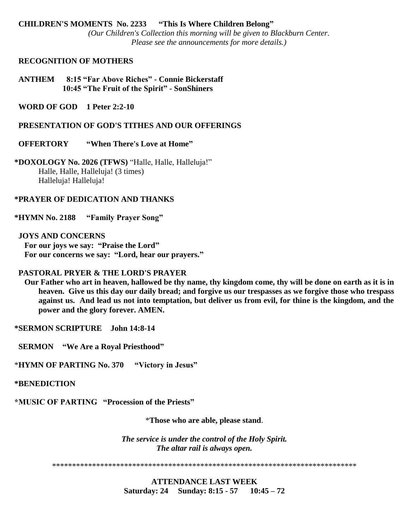#### **CHILDREN'S MOMENTS No. 2233 "This Is Where Children Belong"** *(Our Children's Collection this morning will be given to Blackburn Center. Please see the announcements for more details.)*

#### **RECOGNITION OF MOTHERS**

 **ANTHEM 8:15 "Far Above Riches" - Connie Bickerstaff 10:45 "The Fruit of the Spirit" - SonShiners**

 **WORD OF GOD 1 Peter 2:2-10**

 **PRESENTATION OF GOD'S TITHES AND OUR OFFERINGS**

 **OFFERTORY "When There's Love at Home"** 

**\*DOXOLOGY No. 2026 (TFWS)** "Halle, Halle, Halleluja!" Halle, Halle, Halleluja! (3 times) Halleluja! Halleluja!

#### **\*PRAYER OF DEDICATION AND THANKS**

**\*HYMN No. 2188 "Family Prayer Song"**

 **JOYS AND CONCERNS For our joys we say: "Praise the Lord" For our concerns we say: "Lord, hear our prayers."**

#### **PASTORAL PRYER & THE LORD'S PRAYER**

 **Our Father who art in heaven, hallowed be thy name, thy kingdom come, thy will be done on earth as it is in heaven. Give us this day our daily bread; and forgive us our trespasses as we forgive those who trespass against us. And lead us not into temptation, but deliver us from evil, for thine is the kingdom, and the power and the glory forever. AMEN.**

**\*SERMON SCRIPTURE John 14:8-14**

 **SERMON "We Are a Royal Priesthood"**

\***HYMN OF PARTING No. 370 "Victory in Jesus"**

**\*BENEDICTION**

**\*MUSIC OF PARTING "Procession of the Priests"**

\***Those who are able, please stand**.

*The service is under the control of the Holy Spirit. The altar rail is always open.*

\*\*\*\*\*\*\*\*\*\*\*\*\*\*\*\*\*\*\*\*\*\*\*\*\*\*\*\*\*\*\*\*\*\*\*\*\*\*\*\*\*\*\*\*\*\*\*\*\*\*\*\*\*\*\*\*\*\*\*\*\*\*\*\*\*\*\*\*\*\*\*\*\*\*\*\*

**ATTENDANCE LAST WEEK Saturday: 24 Sunday: 8:15 - 57 10:45 – 72**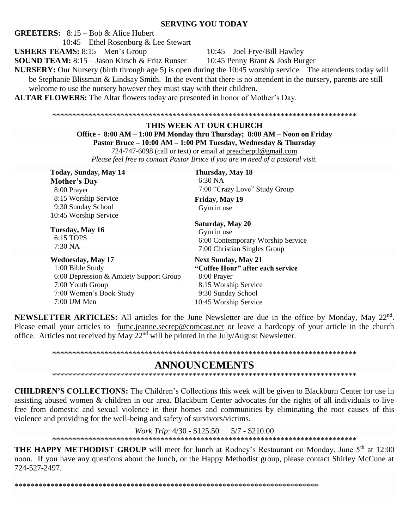#### **SERVING YOU TODAY**

**GREETERS:**  $8:15 - Bob & Alice Hubert$ 

 $10:45$  – Ethel Rosenburg & Lee Stewart

**USHERS TEAMS:** 8:15 - Men's Group

10:45 - Joel Frye/Bill Hawley

**SOUND TEAM:** 8:15 – Jason Kirsch & Fritz Runser

10:45 Penny Brant & Josh Burger

**NURSERY:** Our Nursery (birth through age 5) is open during the 10:45 worship service. The attendents today will be Stephanie Blissman & Lindsay Smith. In the event that there is no attendent in the nursery, parents are still welcome to use the nursery however they must stay with their children.

**ALTAR FLOWERS:** The Altar flowers today are presented in honor of Mother's Day.

#### THIS WEEK AT OUR CHURCH

Office - 8:00 AM – 1:00 PM Monday thru Thursday; 8:00 AM – Noon on Friday Pastor Bruce - 10:00 AM - 1:00 PM Tuesday, Wednesday & Thursday

724-747-6098 (call or text) or email at preacherptl@gmail.com

Please feel free to contact Pastor Bruce if you are in need of a pastoral visit.

Today, Sunday, May 14 **Mother's Day** 8:00 Prayer 8:15 Worship Service 9:30 Sunday School 10:45 Worship Service

Tuesday, May 16 6:15 TOPS 7:30 NA

**Wednesday, May 17** 1:00 Bible Study 6:00 Depression & Anxiety Support Group 7:00 Youth Group 7:00 Women's Book Study 7:00 UM Men

Thursday, May 18  $6:30<sub>NA</sub>$ 7:00 "Crazy Love" Study Group

Friday, May 19 Gym in use

#### Saturday, May 20 Gym in use

6:00 Contemporary Worship Service 7:00 Christian Singles Group

**Next Sunday, May 21** "Coffee Hour" after each service 8:00 Prayer 8:15 Worship Service 9:30 Sunday School 10:45 Worship Service

**NEWSLETTER ARTICLES:** All articles for the June Newsletter are due in the office by Monday, May 22<sup>nd</sup>. Please email your articles to fumc.jeanne.secrep@comcast.net or leave a hardcopy of your article in the church office. Articles not received by May  $22<sup>nd</sup>$  will be printed in the July/August Newsletter.

## **ANNOUNCEMENTS**

**CHILDREN'S COLLECTIONS:** The Children's Collections this week will be given to Blackburn Center for use in assisting abused women & children in our area. Blackburn Center advocates for the rights of all individuals to live free from domestic and sexual violence in their homes and communities by eliminating the root causes of this violence and providing for the well-being and safety of survivors/victims.

> *Work Trip*: 4/30 - \$125.50  $5/7 - $210.00$

**THE HAPPY METHODIST GROUP** will meet for lunch at Rodney's Restaurant on Monday, June 5<sup>th</sup> at 12:00 noon. If you have any questions about the lunch, or the Happy Methodist group, please contact Shirley McCune at 724-527-2497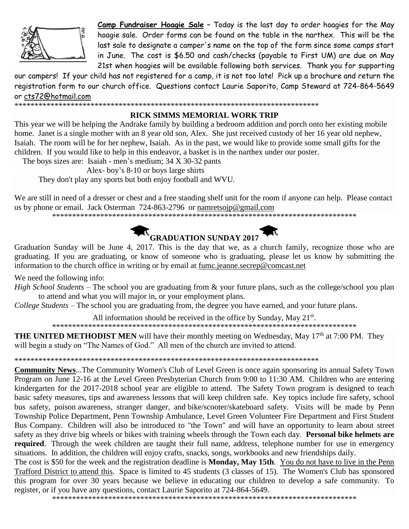

Camp Fundraiser Hoagie Sale - Today is the last day to order hoagies for the May hoagie sale. Order forms can be found on the table in the narthex. This will be the last sale to designate a camper's name on the top of the form since some camps start in June. The cost is \$6.50 and cash/checks (payable to First UM) are due on May 21st when hoagies will be available following both services. Thank you for supporting

our campers! If your child has not registered for a camp, it is not too late! Pick up a brochure and return the registration form to our church office. Questions contact Laurie Saporito, Camp Steward at 724-864-5649 or cts72@hotmail.com

#### RICK SIMMS MEMORIAL WORK TRIP

This year we will be helping the Andrake family by building a bedroom addition and porch onto her existing mobile home. Janet is a single mother with an 8 year old son, Alex. She just received custody of her 16 year old nephew, Isaiah. The room will be for her nephew, Isaiah. As in the past, we would like to provide some small gifts for the children. If you would like to help in this endeavor, a basket is in the narthex under our poster.

The boys sizes are: Isaiah - men's medium; 34 X 30-32 pants

Alex-boy's 8-10 or boys large shirts

They don't play any sports but both enjoy football and WVU.

We are still in need of a dresser or chest and a free standing shelf unit for the room if anyone can help. Please contact us by phone or email. Jack Osterman  $724-863-2796$  or nametsoip@gmail.com



Graduation Sunday will be June 4, 2017. This is the day that we, as a church family, recognize those who are graduating. If you are graduating, or know of someone who is graduating, please let us know by submitting the information to the church office in writing or by email at fume jeanne.secrep@comcast.net

We need the following info:

High School Students – The school you are graduating from & your future plans, such as the college/school you plan to attend and what you will major in, or your employment plans.

College Students – The school you are graduating from, the degree you have earned, and your future plans.

All information should be received in the office by Sunday, May 21<sup>st</sup>.

**THE UNITED METHODIST MEN** will have their monthly meeting on Wednesday, May  $17<sup>th</sup>$  at 7:00 PM. They will begin a study on "The Names of God." All men of the church are invited to attend.

**Community News...The Community Women's Club of Level Green is once again sponsoring its annual Safety Town** Program on June 12-16 at the Level Green Presbyterian Church from 9:00 to 11:30 AM. Children who are entering kindergarten for the 2017-2018 school year are eligible to attend. The Safety Town program is designed to teach basic safety measures, tips and awareness lessons that will keep children safe. Key topics include fire safety, school bus safety, poison awareness, stranger danger, and bike/scooter/skateboard safety. Visits will be made by Penn Township Police Department, Penn Township Ambulance, Level Green Volunteer Fire Department and First Student Bus Company. Children will also be introduced to "the Town" and will have an opportunity to learn about street safety as they drive big wheels or bikes with training wheels through the Town each day. Personal bike helmets are required. Through the week children are taught their full name, address, telephone number for use in emergency situations. In addition, the children will enjoy crafts, snacks, songs, workbooks and new friendships daily.

The cost is \$50 for the week and the registration deadline is Monday, May 15th. You do not have to live in the Penn Trafford District to attend this. Space is limited to 45 students (3 classes of 15). The Women's Club has sponsored this program for over 30 years because we believe in educating our children to develop a safe community. To register, or if you have any questions, contact Laurie Saporito at 724-864-5649.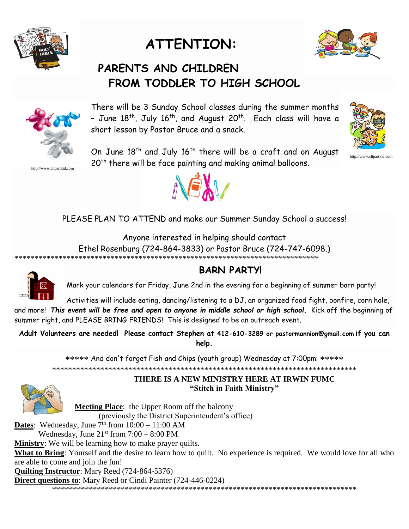

# **ATTENTION:**



# **PARENTS AND CHILDREN FROM TODDLER TO HIGH SCHOOL**



http://www.clipartkid.com

There will be 3 Sunday School classes during the summer months - June  $18^\text{th}$ , July  $16^\text{th}$ , and August 20 $^\text{th}$ . Each class will have a short lesson by Pastor Bruce and a snack.



http://www.clipartkid.com

On June 18<sup>th</sup> and July 16<sup>th</sup> there will be a craft and on August 20<sup>th</sup> there will be face painting and making animal balloons.



PLEASE PLAN TO ATTEND and make our Summer Sunday School a success!

Anyone interested in helping should contact Ethel Rosenburg (724-864-3833) or Pastor Bruce (724-747-6098.) \*\*\*\*\*\*\*\*\*\*\*\*\*\*\*\*\*\*\*\*\*\*\*\*\*\*\*\*\*\*\*\*\*\*\*\*\*\*\*\*\*\*\*\*\*\*\*\*\*\*\*\*\*\*\*\*\*\*\*\*\*\*\*\*\*\*\*\*\*\*\*\*\*\*\*\*



# **BARN PARTY!**

Mark your calendars for Friday, June 2nd in the evening for a beginning of summer barn party!

Activities will include eating, dancing/listening to a DJ, an organized food fight, bonfire, corn hole, and more! *This event will be free and open to anyone in middle school or high school.* Kick off the beginning of summer right, and PLEASE BRING FRIENDS! This is designed to be an outreach event.

**Adult Volunteers are needed! Please contact Stephen at 412-610-3289 or [pastormannion@gmail.com](mailto:pastormannion@gmail.com) if you can help.**

\*\*\*\*\* And don't forget Fish and Chips (youth group) Wednesday at 7:00pm! \*\*\*\*\* \*\*\*\*\*\*\*\*\*\*\*\*\*\*\*\*\*\*\*\*\*\*\*\*\*\*\*\*\*\*\*\*\*\*\*\*\*\*\*\*\*\*\*\*\*\*\*\*\*\*\*\*\*\*\*\*\*\*\*\*\*\*\*\*\*\*\*\*\*\*\*\*\*\*\*\*



### **THERE IS A NEW MINISTRY HERE AT IRWIN FUMC "Stitch in Faith Ministry"**

**Meeting Place**: the Upper Room off the balcony

(previously the District Superintendent's office)

**Dates**: Wednesday, June  $7^{\text{th}}$  from  $10:00 - 11:00$  AM

Wednesday, June  $21<sup>st</sup>$  from  $7:00 - 8:00$  PM

**Ministry**: We will be learning how to make prayer quilts.

**What to Bring**: Yourself and the desire to learn how to quilt. No experience is required. We would love for all who are able to come and join the fun!

**Quilting Instructor**: Mary Reed (724-864-5376)

**Direct questions to**: Mary Reed or Cindi Painter (724-446-0224)

\*\*\*\*\*\*\*\*\*\*\*\*\*\*\*\*\*\*\*\*\*\*\*\*\*\*\*\*\*\*\*\*\*\*\*\*\*\*\*\*\*\*\*\*\*\*\*\*\*\*\*\*\*\*\*\*\*\*\*\*\*\*\*\*\*\*\*\*\*\*\*\*\*\*\*\*